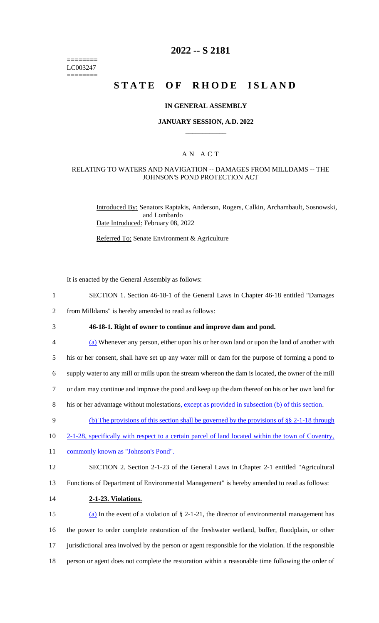======== LC003247 ========

## **2022 -- S 2181**

# **STATE OF RHODE ISLAND**

#### **IN GENERAL ASSEMBLY**

#### **JANUARY SESSION, A.D. 2022 \_\_\_\_\_\_\_\_\_\_\_\_**

### A N A C T

#### RELATING TO WATERS AND NAVIGATION -- DAMAGES FROM MILLDAMS -- THE JOHNSON'S POND PROTECTION ACT

Introduced By: Senators Raptakis, Anderson, Rogers, Calkin, Archambault, Sosnowski, and Lombardo Date Introduced: February 08, 2022

Referred To: Senate Environment & Agriculture

It is enacted by the General Assembly as follows:

- 1 SECTION 1. Section 46-18-1 of the General Laws in Chapter 46-18 entitled "Damages
- 2 from Milldams" is hereby amended to read as follows:
- 

## 3 **46-18-1. Right of owner to continue and improve dam and pond.**

4 (a) Whenever any person, either upon his or her own land or upon the land of another with

5 his or her consent, shall have set up any water mill or dam for the purpose of forming a pond to

6 supply water to any mill or mills upon the stream whereon the dam is located, the owner of the mill

- 7 or dam may continue and improve the pond and keep up the dam thereof on his or her own land for
- 8 his or her advantage without molestations, except as provided in subsection (b) of this section.
- 9 (b) The provisions of this section shall be governed by the provisions of §§ 2-1-18 through
- 10 2-1-28, specifically with respect to a certain parcel of land located within the town of Coventry,
- 11 commonly known as "Johnson's Pond".
- 12 SECTION 2. Section 2-1-23 of the General Laws in Chapter 2-1 entitled "Agricultural
- 13 Functions of Department of Environmental Management" is hereby amended to read as follows:

#### 14 **2-1-23. Violations.**

15 (a) In the event of a violation of  $\S 2$ -1-21, the director of environmental management has the power to order complete restoration of the freshwater wetland, buffer, floodplain, or other jurisdictional area involved by the person or agent responsible for the violation. If the responsible person or agent does not complete the restoration within a reasonable time following the order of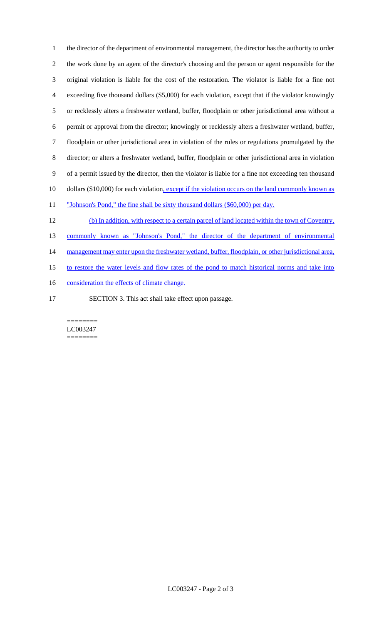the director of the department of environmental management, the director has the authority to order the work done by an agent of the director's choosing and the person or agent responsible for the original violation is liable for the cost of the restoration. The violator is liable for a fine not exceeding five thousand dollars (\$5,000) for each violation, except that if the violator knowingly or recklessly alters a freshwater wetland, buffer, floodplain or other jurisdictional area without a permit or approval from the director; knowingly or recklessly alters a freshwater wetland, buffer, floodplain or other jurisdictional area in violation of the rules or regulations promulgated by the director; or alters a freshwater wetland, buffer, floodplain or other jurisdictional area in violation of a permit issued by the director, then the violator is liable for a fine not exceeding ten thousand 10 dollars (\$10,000) for each violation, except if the violation occurs on the land commonly known as 11 "Johnson's Pond," the fine shall be sixty thousand dollars (\$60,000) per day. (b) In addition, with respect to a certain parcel of land located within the town of Coventry,

 commonly known as "Johnson's Pond," the director of the department of environmental 14 management may enter upon the freshwater wetland, buffer, floodplain, or other jurisdictional area, to restore the water levels and flow rates of the pond to match historical norms and take into

- 16 consideration the effects of climate change.
- 

SECTION 3. This act shall take effect upon passage.

======== LC003247 ========